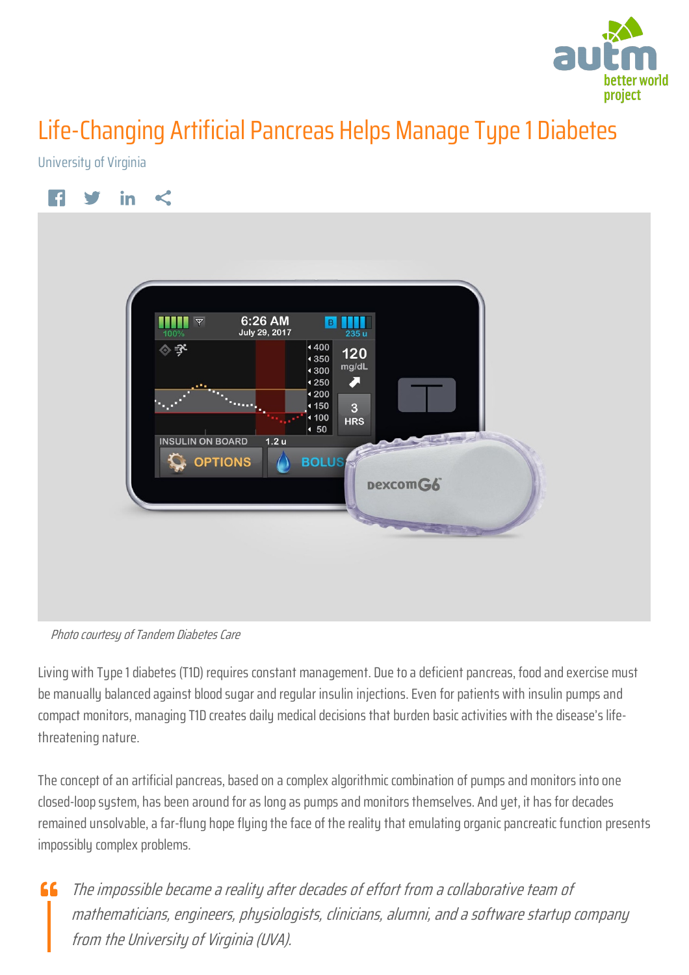

## Life-Changing Artificial Pancreas Helps Manage Type 1 Diabetes

University of Virginia



Photo courtesy of Tandem Diabetes Care

Living with Type 1 diabetes (T1D) requires constant management. Due to a deficient pancreas, food and exercise must be manually balanced against blood sugar and regular insulin injections. Even for patients with insulin pumps and compact monitors, managing T1D creates daily medical decisions that burden basic activities with the disease's lifethreatening nature.

The concept of an artificial pancreas, based on a complex algorithmic combination of pumps and monitors into one closed-loop system, has been around for as long as pumps and monitors themselves. And yet, it has for decades remained unsolvable, a far-flung hope flying the face of the reality that emulating organic pancreatic function presents impossibly complex problems.

The impossible became a reality after decades of effort from a collaborative team of  $\epsilon$ mathematicians, engineers, physiologists, clinicians, alumni, and a software startup company from the University of Virginia (UVA).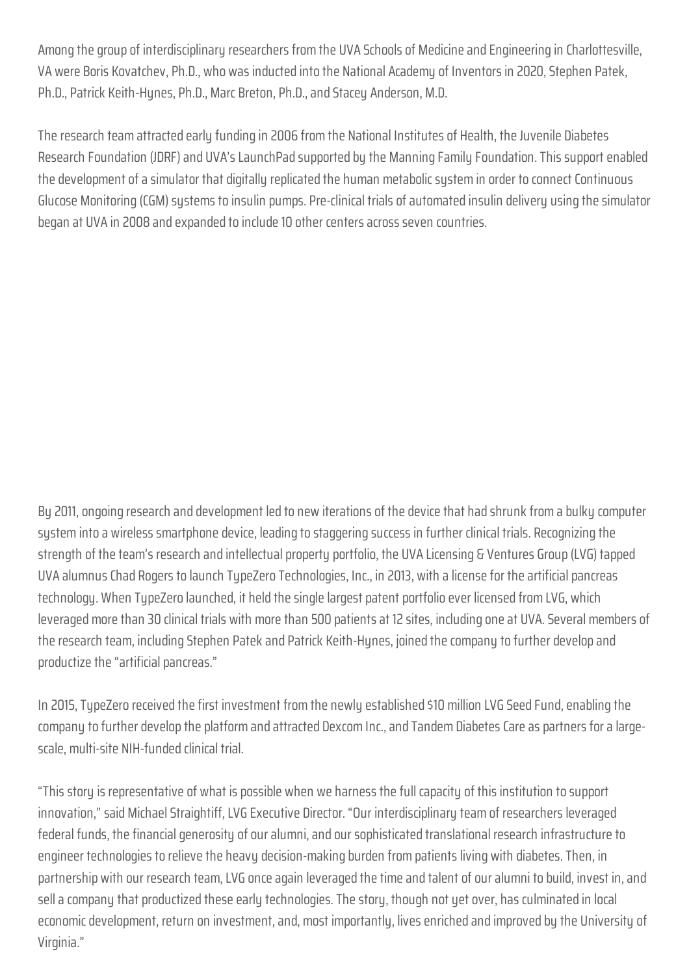Among the group of interdisciplinary researchers from the UVA Schools of Medicine and Engineering in Charlottesville, VA were Boris Kovatchev, Ph.D., who was inducted into the National Academy of Inventors in 2020, Stephen Patek, Ph.D., Patrick Keith-Hynes, Ph.D., Marc Breton, Ph.D., and Stacey Anderson, M.D.

The research team attracted early funding in 2006 from the National Institutes of Health, the Juvenile Diabetes Research Foundation (JDRF) and UVA's LaunchPad supported by the Manning Family Foundation. This support enabled the development of a simulator that digitally replicated the human metabolic system in order to connect Continuous Glucose Monitoring (CGM) systems to insulin pumps. Pre-clinical trials of automated insulin delivery using the simulator began at UVA in 2008 and expanded to include 10 other centers across seven countries.

By 2011, ongoing research and development led to new iterations of the device that had shrunk from a bulky computer system into a wireless smartphone device, leading to staggering success in further clinical trials. Recognizing the strength of the team's research and intellectual property portfolio, the UVA Licensing & Ventures Group (LVG) tapped UVA alumnus Chad Rogers to launch TypeZero Technologies, Inc., in 2013, with a license for the artificial pancreas technology. When TypeZero launched, it held the single largest patent portfolio ever licensed from LVG, which leveraged more than 30 clinical trials with more than 500 patients at 12 sites, including one at UVA. Several members of the research team, including Stephen Patek and Patrick Keith-Hynes, joined the company to further develop and productize the "artificial pancreas."

In 2015, TupeZero received the first investment from the newly established \$10 million LVG Seed Fund, enabling the company to further develop the platform and attracted Dexcom Inc., and Tandem Diabetes Care as partners for a largescale, multi-site NIH-funded clinical trial.

"This story is representative of what is possible when we harness the full capacity of this institution to support innovation," said Michael Straightiff, LVG Executive Director. "Our interdisciplinary team of researchers leveraged federal funds, the financial generosity of our alumni, and our sophisticated translational research infrastructure to engineer technologies to relieve the heavy decision-making burden from patients living with diabetes. Then, in partnership with our research team, LVG once again leveraged the time and talent of our alumni to build, invest in, and sell a company that productized these early technologies. The story, though not yet over, has culminated in local economic development, return on investment, and, most importantly, lives enriched and improved by the University of Virginia."